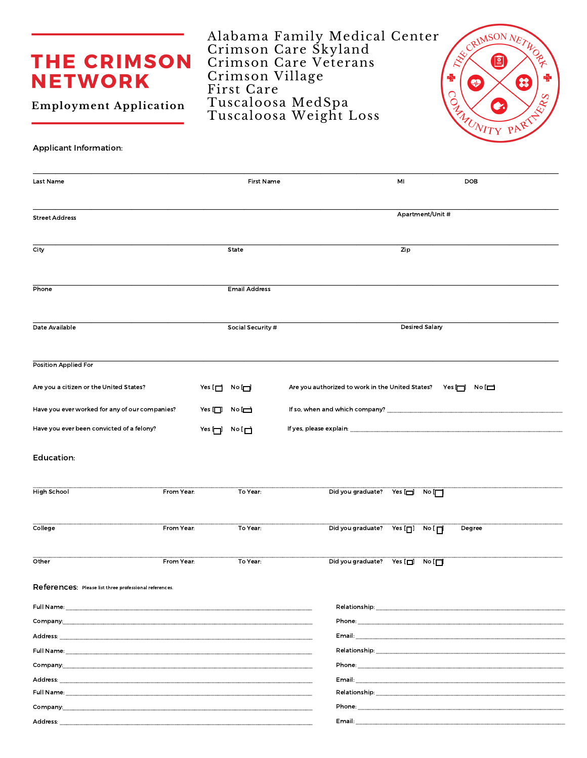## **THE CRIMSON NETWORK**

**Employment Application** 

## **Applicant Information:**

| Last Name                                                                                                                                                                                                                      |                                                                                           |                | <b>First Name</b>    | MI                                                                                                                                                                                                                                  |                                                                     | <b>DOB</b> |
|--------------------------------------------------------------------------------------------------------------------------------------------------------------------------------------------------------------------------------|-------------------------------------------------------------------------------------------|----------------|----------------------|-------------------------------------------------------------------------------------------------------------------------------------------------------------------------------------------------------------------------------------|---------------------------------------------------------------------|------------|
|                                                                                                                                                                                                                                |                                                                                           |                |                      |                                                                                                                                                                                                                                     | Apartment/Unit #                                                    |            |
| <b>Street Address</b>                                                                                                                                                                                                          |                                                                                           |                |                      |                                                                                                                                                                                                                                     |                                                                     |            |
| City                                                                                                                                                                                                                           |                                                                                           |                | State                |                                                                                                                                                                                                                                     | Zip                                                                 |            |
| Phone                                                                                                                                                                                                                          |                                                                                           |                | <b>Email Address</b> |                                                                                                                                                                                                                                     |                                                                     |            |
| Date Available                                                                                                                                                                                                                 |                                                                                           |                | Social Security #    |                                                                                                                                                                                                                                     | <b>Desired Salary</b>                                               |            |
| <b>Position Applied For</b>                                                                                                                                                                                                    |                                                                                           |                |                      |                                                                                                                                                                                                                                     |                                                                     |            |
| Are you a citizen or the United States?                                                                                                                                                                                        |                                                                                           |                | Yes [□ No □          | Are you authorized to work in the United States? Yes                                                                                                                                                                                |                                                                     | $No \Box$  |
| Have you ever worked for any of our companies?                                                                                                                                                                                 |                                                                                           | Yes [ $\Box$ ] | $N$ o $\Box$         |                                                                                                                                                                                                                                     |                                                                     |            |
| Have you ever been convicted of a felony?                                                                                                                                                                                      |                                                                                           | Yes [¬]        | No [ $\Box$          |                                                                                                                                                                                                                                     |                                                                     |            |
| Education:                                                                                                                                                                                                                     |                                                                                           |                |                      |                                                                                                                                                                                                                                     |                                                                     |            |
| <b>High School</b>                                                                                                                                                                                                             | From Year:                                                                                |                | To Year:             | Did you graduate? Yes [J] No                                                                                                                                                                                                        |                                                                     |            |
| College                                                                                                                                                                                                                        | From Year:                                                                                |                | To Year:             | Did you graduate?                                                                                                                                                                                                                   | Yes $[\blacksquare]$<br>$\overline{N^{\circ}}$ [ $\overline{\Pi}$ ] | Degree     |
| Other                                                                                                                                                                                                                          | From Year:                                                                                |                | To Year:             | Did you graduate? Yes [n]                                                                                                                                                                                                           | $N$ o $[T]$                                                         |            |
| References: Please list three professional references.                                                                                                                                                                         |                                                                                           |                |                      |                                                                                                                                                                                                                                     |                                                                     |            |
|                                                                                                                                                                                                                                |                                                                                           |                |                      | Relationship: the contract of the contract of the contract of the contract of the contract of the contract of the contract of the contract of the contract of the contract of the contract of the contract of the contract of       |                                                                     |            |
|                                                                                                                                                                                                                                |                                                                                           |                |                      |                                                                                                                                                                                                                                     |                                                                     |            |
|                                                                                                                                                                                                                                |                                                                                           |                |                      | <b>Email:</b> Email: All and the second contract of the second contract of the second contract of the second contract of the second contract of the second contract of the second contract of the second contract of the second con |                                                                     |            |
|                                                                                                                                                                                                                                |                                                                                           |                |                      |                                                                                                                                                                                                                                     |                                                                     |            |
| Company:                                                                                                                                                                                                                       |                                                                                           |                |                      |                                                                                                                                                                                                                                     |                                                                     |            |
| Address: _                                                                                                                                                                                                                     |                                                                                           |                |                      | Email: Album and the contract of the contract of the contract of the contract of the contract of the contract of the contract of the contract of the contract of the contract of the contract of the contract of the contract       |                                                                     |            |
| Full Name: Experience of the contract of the contract of the contract of the contract of the contract of the contract of the contract of the contract of the contract of the contract of the contract of the contract of the c |                                                                                           |                |                      |                                                                                                                                                                                                                                     |                                                                     |            |
| Company:                                                                                                                                                                                                                       | the control of the control of the control of the control of the control of the control of |                |                      | <b>Phone:</b> Phone and the contract of the contract of the contract of the contract of the contract of the contract of the contract of the contract of the contract of the contract of the contract of the contract of the contrac |                                                                     |            |
| Address.                                                                                                                                                                                                                       |                                                                                           |                |                      | Email.                                                                                                                                                                                                                              |                                                                     |            |

Alabama Family Medical Center<br>Crimson Care Skyland<br>Crimson Care Veterans<br>Crimson Village First Care Tuscaloosa MedSpa<br>Tuscaloosa Weight Loss